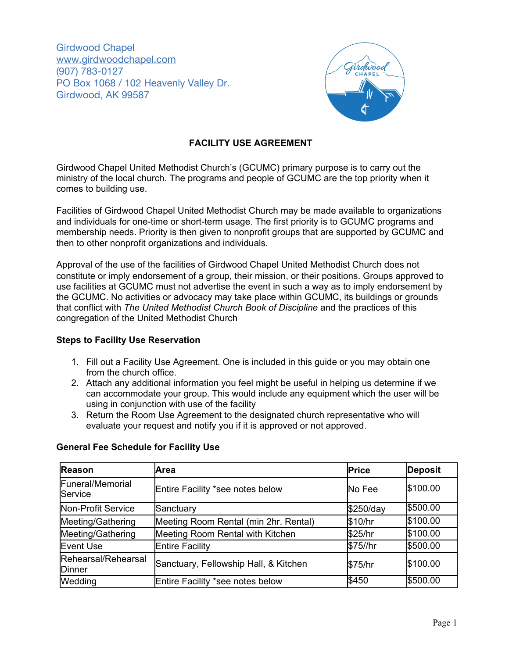Girdwood Chapel [www.girdwoodchapel.com](http://www.girdwoodchapel.com/) (907) 783-0127 PO Box 1068 / 102 Heavenly Valley Dr. Girdwood, AK 99587



# **FACILITY USE AGREEMENT**

Girdwood Chapel United Methodist Church's (GCUMC) primary purpose is to carry out the ministry of the local church. The programs and people of GCUMC are the top priority when it comes to building use.

Facilities of Girdwood Chapel United Methodist Church may be made available to organizations and individuals for one-time or short-term usage. The first priority is to GCUMC programs and membership needs. Priority is then given to nonprofit groups that are supported by GCUMC and then to other nonprofit organizations and individuals.

Approval of the use of the facilities of Girdwood Chapel United Methodist Church does not constitute or imply endorsement of a group, their mission, or their positions. Groups approved to use facilities at GCUMC must not advertise the event in such a way as to imply endorsement by the GCUMC. No activities or advocacy may take place within GCUMC, its buildings or grounds that conflict with *The United Methodist Church Book of Discipline* and the practices of this congregation of the United Methodist Church

# **Steps to Facility Use Reservation**

- 1. Fill out a Facility Use Agreement. One is included in this guide or you may obtain one from the church office.
- 2. Attach any additional information you feel might be useful in helping us determine if we can accommodate your group. This would include any equipment which the user will be using in conjunction with use of the facility
- 3. Return the Room Use Agreement to the designated church representative who will evaluate your request and notify you if it is approved or not approved.

| <b>Reason</b>                 | Area                                  | <b>Price</b> | <b>Deposit</b> |
|-------------------------------|---------------------------------------|--------------|----------------|
| Funeral/Memorial<br>Service   | Entire Facility *see notes below      | No Fee       | \$100.00       |
| Non-Profit Service            | Sanctuary                             | \$250/day    | \$500.00       |
| Meeting/Gathering             | Meeting Room Rental (min 2hr. Rental) | \$10/hr      | \$100.00       |
| Meeting/Gathering             | Meeting Room Rental with Kitchen      | \$25/hr      | \$100.00       |
| Event Use                     | <b>Entire Facility</b>                | \$75//hr     | \$500.00       |
| Rehearsal/Rehearsal<br>Dinner | Sanctuary, Fellowship Hall, & Kitchen | \$75/hr      | \$100.00       |
| Wedding                       | Entire Facility *see notes below      | \$450        | \$500.00       |

# **General Fee Schedule for Facility Use**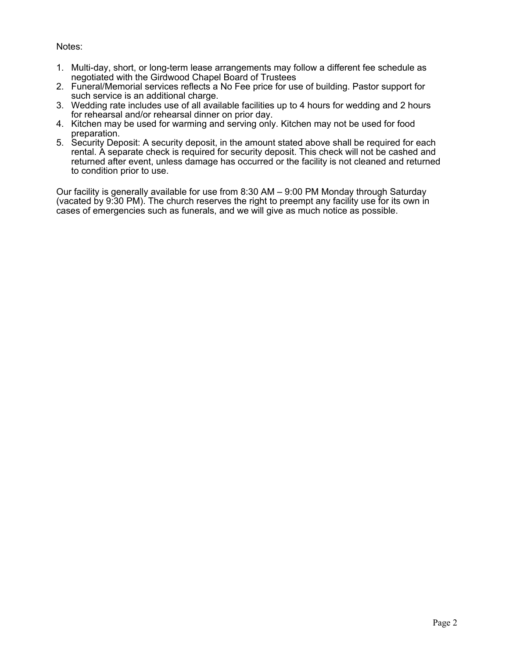Notes:

- 1. Multi-day, short, or long-term lease arrangements may follow a different fee schedule as negotiated with the Girdwood Chapel Board of Trustees
- 2. Funeral/Memorial services reflects a No Fee price for use of building. Pastor support for such service is an additional charge.
- 3. Wedding rate includes use of all available facilities up to 4 hours for wedding and 2 hours for rehearsal and/or rehearsal dinner on prior day.
- 4. Kitchen may be used for warming and serving only. Kitchen may not be used for food preparation.
- 5. Security Deposit: A security deposit, in the amount stated above shall be required for each rental. A separate check is required for security deposit. This check will not be cashed and returned after event, unless damage has occurred or the facility is not cleaned and returned to condition prior to use.

Our facility is generally available for use from 8:30 AM – 9:00 PM Monday through Saturday (vacated by 9:30 PM). The church reserves the right to preempt any facility use for its own in cases of emergencies such as funerals, and we will give as much notice as possible.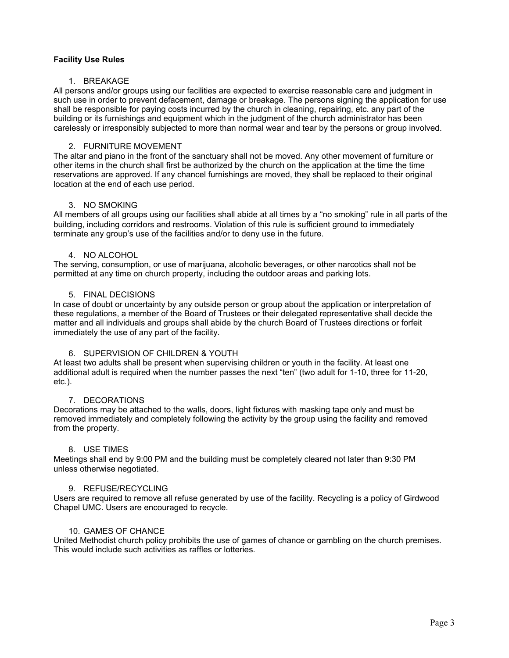## **Facility Use Rules**

#### 1. BREAKAGE

All persons and/or groups using our facilities are expected to exercise reasonable care and judgment in such use in order to prevent defacement, damage or breakage. The persons signing the application for use shall be responsible for paying costs incurred by the church in cleaning, repairing, etc. any part of the building or its furnishings and equipment which in the judgment of the church administrator has been carelessly or irresponsibly subjected to more than normal wear and tear by the persons or group involved.

## 2. FURNITURE MOVEMENT

The altar and piano in the front of the sanctuary shall not be moved. Any other movement of furniture or other items in the church shall first be authorized by the church on the application at the time the time reservations are approved. If any chancel furnishings are moved, they shall be replaced to their original location at the end of each use period.

### 3. NO SMOKING

All members of all groups using our facilities shall abide at all times by a "no smoking" rule in all parts of the building, including corridors and restrooms. Violation of this rule is sufficient ground to immediately terminate any group's use of the facilities and/or to deny use in the future.

### 4. NO ALCOHOL

The serving, consumption, or use of marijuana, alcoholic beverages, or other narcotics shall not be permitted at any time on church property, including the outdoor areas and parking lots.

### 5. FINAL DECISIONS

In case of doubt or uncertainty by any outside person or group about the application or interpretation of these regulations, a member of the Board of Trustees or their delegated representative shall decide the matter and all individuals and groups shall abide by the church Board of Trustees directions or forfeit immediately the use of any part of the facility.

## 6. SUPERVISION OF CHILDREN & YOUTH

At least two adults shall be present when supervising children or youth in the facility. At least one additional adult is required when the number passes the next "ten" (two adult for 1-10, three for 11-20, etc.).

#### 7. DECORATIONS

Decorations may be attached to the walls, doors, light fixtures with masking tape only and must be removed immediately and completely following the activity by the group using the facility and removed from the property.

#### 8. USE TIMES

Meetings shall end by 9:00 PM and the building must be completely cleared not later than 9:30 PM unless otherwise negotiated.

#### 9. REFUSE/RECYCLING

Users are required to remove all refuse generated by use of the facility. Recycling is a policy of Girdwood Chapel UMC. Users are encouraged to recycle.

#### 10. GAMES OF CHANCE

United Methodist church policy prohibits the use of games of chance or gambling on the church premises. This would include such activities as raffles or lotteries.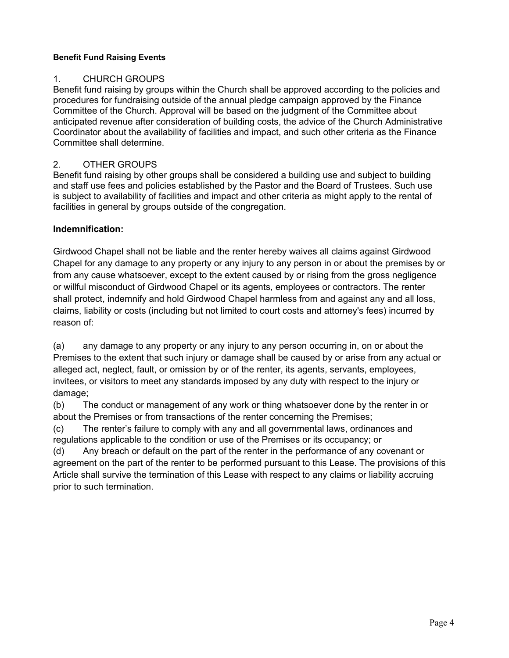# **Benefit Fund Raising Events**

# 1. CHURCH GROUPS

Benefit fund raising by groups within the Church shall be approved according to the policies and procedures for fundraising outside of the annual pledge campaign approved by the Finance Committee of the Church. Approval will be based on the judgment of the Committee about anticipated revenue after consideration of building costs, the advice of the Church Administrative Coordinator about the availability of facilities and impact, and such other criteria as the Finance Committee shall determine.

# 2. OTHER GROUPS

Benefit fund raising by other groups shall be considered a building use and subject to building and staff use fees and policies established by the Pastor and the Board of Trustees. Such use is subject to availability of facilities and impact and other criteria as might apply to the rental of facilities in general by groups outside of the congregation.

# **Indemnification:**

Girdwood Chapel shall not be liable and the renter hereby waives all claims against Girdwood Chapel for any damage to any property or any injury to any person in or about the premises by or from any cause whatsoever, except to the extent caused by or rising from the gross negligence or willful misconduct of Girdwood Chapel or its agents, employees or contractors. The renter shall protect, indemnify and hold Girdwood Chapel harmless from and against any and all loss, claims, liability or costs (including but not limited to court costs and attorney's fees) incurred by reason of:

(a) any damage to any property or any injury to any person occurring in, on or about the Premises to the extent that such injury or damage shall be caused by or arise from any actual or alleged act, neglect, fault, or omission by or of the renter, its agents, servants, employees, invitees, or visitors to meet any standards imposed by any duty with respect to the injury or damage;

(b) The conduct or management of any work or thing whatsoever done by the renter in or about the Premises or from transactions of the renter concerning the Premises;

(c) The renter's failure to comply with any and all governmental laws, ordinances and regulations applicable to the condition or use of the Premises or its occupancy; or

(d) Any breach or default on the part of the renter in the performance of any covenant or agreement on the part of the renter to be performed pursuant to this Lease. The provisions of this Article shall survive the termination of this Lease with respect to any claims or liability accruing prior to such termination.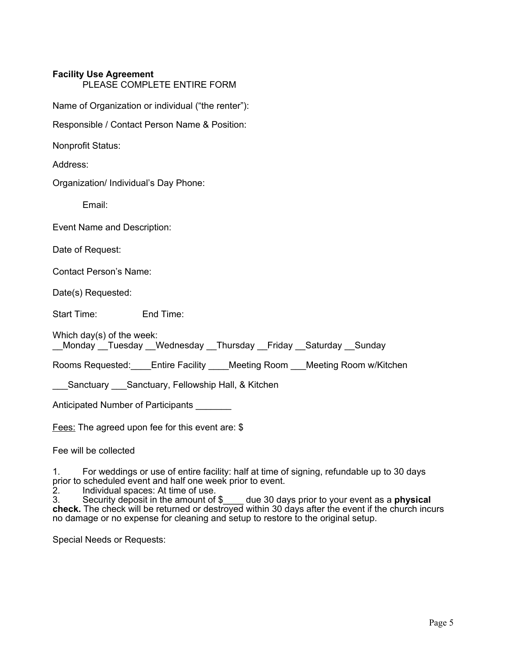# **Facility Use Agreement**

PLEASE COMPLETE ENTIRE FORM

Name of Organization or individual ("the renter"):

Responsible / Contact Person Name & Position:

Nonprofit Status:

Address:

Organization/ Individual's Day Phone:

Email:

Event Name and Description:

Date of Request:

Contact Person's Name:

Date(s) Requested:

Start Time: End Time:

Which day(s) of the week: \_\_Monday \_\_Tuesday \_\_Wednesday \_\_Thursday \_\_Friday \_\_Saturday \_\_Sunday

Rooms Requested: Entire Facility \_\_\_\_Meeting Room \_\_\_Meeting Room w/Kitchen

Sanctuary Sanctuary, Fellowship Hall, & Kitchen

Anticipated Number of Participants \_\_\_\_\_\_\_

Fees: The agreed upon fee for this event are: \$

Fee will be collected

1. For weddings or use of entire facility: half at time of signing, refundable up to 30 days prior to scheduled event and half one week prior to event.<br>2. Individual spaces: At time of use.

2. Individual spaces: At time of use.

3. Security deposit in the amount of \$\_\_\_\_ due 30 days prior to your event as a **physical check.** The check will be returned or destroyed within 30 days after the event if the church incurs no damage or no expense for cleaning and setup to restore to the original setup.

Special Needs or Requests: